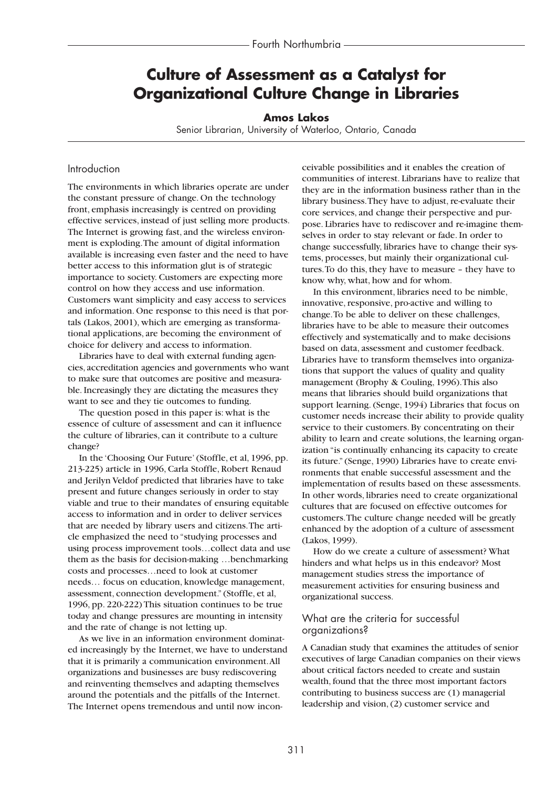# **Culture of Assessment as a Catalyst for Organizational Culture Change in Libraries**

#### **Amos Lakos**

Senior Librarian, University of Waterloo, Ontario, Canada

#### Introduction

The environments in which libraries operate are under the constant pressure of change. On the technology front, emphasis increasingly is centred on providing effective services, instead of just selling more products. The Internet is growing fast, and the wireless environment is exploding.The amount of digital information available is increasing even faster and the need to have better access to this information glut is of strategic importance to society. Customers are expecting more control on how they access and use information. Customers want simplicity and easy access to services and information. One response to this need is that portals (Lakos, 2001), which are emerging as transformational applications, are becoming the environment of choice for delivery and access to information.

Libraries have to deal with external funding agencies, accreditation agencies and governments who want to make sure that outcomes are positive and measurable. Increasingly they are dictating the measures they want to see and they tie outcomes to funding.

The question posed in this paper is: what is the essence of culture of assessment and can it influence the culture of libraries, can it contribute to a culture change?

In the 'Choosing Our Future' (Stoffle, et al, 1996, pp. 213-225) article in 1996, Carla Stoffle, Robert Renaud and Jerilyn Veldof predicted that libraries have to take present and future changes seriously in order to stay viable and true to their mandates of ensuring equitable access to information and in order to deliver services that are needed by library users and citizens.The article emphasized the need to "studying processes and using process improvement tools…collect data and use them as the basis for decision-making …benchmarking costs and processes…need to look at customer needs… focus on education, knowledge management, assessment, connection development." (Stoffle, et al, 1996, pp. 220-222) This situation continues to be true today and change pressures are mounting in intensity and the rate of change is not letting up.

As we live in an information environment dominated increasingly by the Internet, we have to understand that it is primarily a communication environment.All organizations and businesses are busy rediscovering and reinventing themselves and adapting themselves around the potentials and the pitfalls of the Internet. The Internet opens tremendous and until now inconceivable possibilities and it enables the creation of communities of interest. Librarians have to realize that they are in the information business rather than in the library business.They have to adjust, re-evaluate their core services, and change their perspective and purpose. Libraries have to rediscover and re-imagine themselves in order to stay relevant or fade. In order to change successfully, libraries have to change their systems, processes, but mainly their organizational cultures.To do this, they have to measure – they have to know why, what, how and for whom.

In this environment, libraries need to be nimble, innovative, responsive, pro-active and willing to change.To be able to deliver on these challenges, libraries have to be able to measure their outcomes effectively and systematically and to make decisions based on data, assessment and customer feedback. Libraries have to transform themselves into organizations that support the values of quality and quality management (Brophy & Couling, 1996).This also means that libraries should build organizations that support learning. (Senge, 1994) Libraries that focus on customer needs increase their ability to provide quality service to their customers. By concentrating on their ability to learn and create solutions, the learning organization "is continually enhancing its capacity to create its future." (Senge, 1990) Libraries have to create environments that enable successful assessment and the implementation of results based on these assessments. In other words, libraries need to create organizational cultures that are focused on effective outcomes for customers.The culture change needed will be greatly enhanced by the adoption of a culture of assessment (Lakos, 1999).

How do we create a culture of assessment? What hinders and what helps us in this endeavor? Most management studies stress the importance of measurement activities for ensuring business and organizational success.

### What are the criteria for successful organizations?

A Canadian study that examines the attitudes of senior executives of large Canadian companies on their views about critical factors needed to create and sustain wealth, found that the three most important factors contributing to business success are (1) managerial leadership and vision, (2) customer service and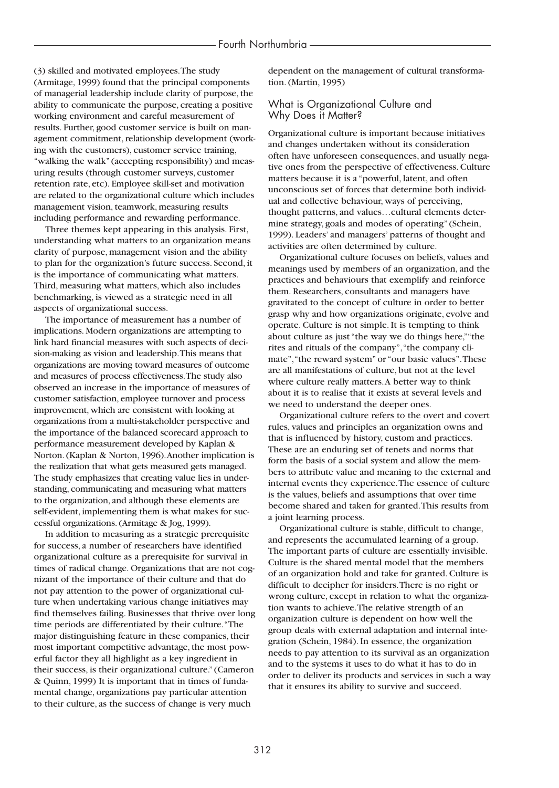(3) skilled and motivated employees.The study (Armitage, 1999) found that the principal components of managerial leadership include clarity of purpose, the ability to communicate the purpose, creating a positive working environment and careful measurement of results. Further, good customer service is built on management commitment, relationship development (working with the customers), customer service training, "walking the walk" (accepting responsibility) and measuring results (through customer surveys, customer retention rate, etc). Employee skill-set and motivation are related to the organizational culture which includes management vision, teamwork, measuring results including performance and rewarding performance.

Three themes kept appearing in this analysis. First, understanding what matters to an organization means clarity of purpose, management vision and the ability to plan for the organization's future success. Second, it is the importance of communicating what matters. Third, measuring what matters, which also includes benchmarking, is viewed as a strategic need in all aspects of organizational success.

The importance of measurement has a number of implications. Modern organizations are attempting to link hard financial measures with such aspects of decision-making as vision and leadership.This means that organizations are moving toward measures of outcome and measures of process effectiveness.The study also observed an increase in the importance of measures of customer satisfaction, employee turnover and process improvement, which are consistent with looking at organizations from a multi-stakeholder perspective and the importance of the balanced scorecard approach to performance measurement developed by Kaplan & Norton. (Kaplan & Norton, 1996).Another implication is the realization that what gets measured gets managed. The study emphasizes that creating value lies in understanding, communicating and measuring what matters to the organization, and although these elements are self-evident, implementing them is what makes for successful organizations. (Armitage & Jog, 1999).

In addition to measuring as a strategic prerequisite for success, a number of researchers have identified organizational culture as a prerequisite for survival in times of radical change. Organizations that are not cognizant of the importance of their culture and that do not pay attention to the power of organizational culture when undertaking various change initiatives may find themselves failing. Businesses that thrive over long time periods are differentiated by their culture."The major distinguishing feature in these companies, their most important competitive advantage, the most powerful factor they all highlight as a key ingredient in their success, is their organizational culture." (Cameron & Quinn, 1999) It is important that in times of fundamental change, organizations pay particular attention to their culture, as the success of change is very much

dependent on the management of cultural transformation. (Martin, 1995)

#### What is Organizational Culture and Why Does it Matter?

Organizational culture is important because initiatives and changes undertaken without its consideration often have unforeseen consequences, and usually negative ones from the perspective of effectiveness. Culture matters because it is a "powerful, latent, and often unconscious set of forces that determine both individual and collective behaviour, ways of perceiving, thought patterns, and values…cultural elements determine strategy, goals and modes of operating" (Schein, 1999). Leaders' and managers' patterns of thought and activities are often determined by culture.

Organizational culture focuses on beliefs, values and meanings used by members of an organization, and the practices and behaviours that exemplify and reinforce them. Researchers, consultants and managers have gravitated to the concept of culture in order to better grasp why and how organizations originate, evolve and operate. Culture is not simple. It is tempting to think about culture as just "the way we do things here,""the rites and rituals of the company","the company climate", "the reward system" or "our basic values". These are all manifestations of culture, but not at the level where culture really matters.A better way to think about it is to realise that it exists at several levels and we need to understand the deeper ones.

Organizational culture refers to the overt and covert rules, values and principles an organization owns and that is influenced by history, custom and practices. These are an enduring set of tenets and norms that form the basis of a social system and allow the members to attribute value and meaning to the external and internal events they experience.The essence of culture is the values, beliefs and assumptions that over time become shared and taken for granted.This results from a joint learning process.

Organizational culture is stable, difficult to change, and represents the accumulated learning of a group. The important parts of culture are essentially invisible. Culture is the shared mental model that the members of an organization hold and take for granted. Culture is difficult to decipher for insiders.There is no right or wrong culture, except in relation to what the organization wants to achieve.The relative strength of an organization culture is dependent on how well the group deals with external adaptation and internal integration (Schein, 1984). In essence, the organization needs to pay attention to its survival as an organization and to the systems it uses to do what it has to do in order to deliver its products and services in such a way that it ensures its ability to survive and succeed.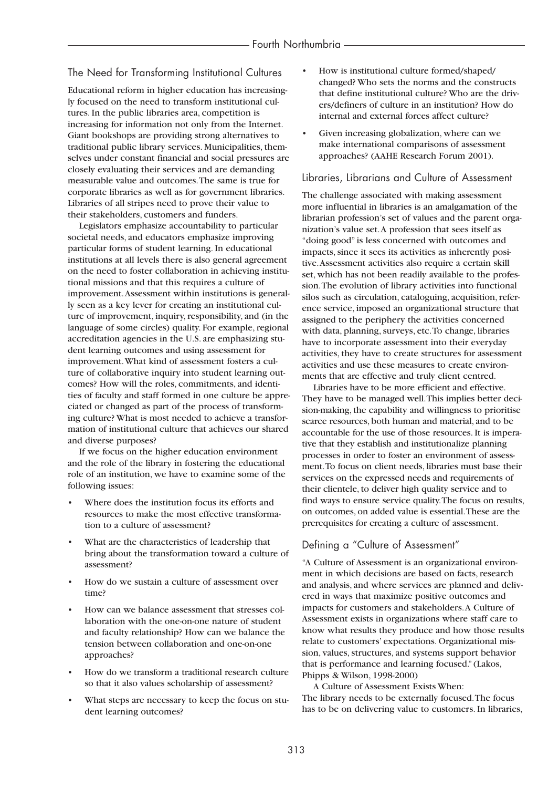# The Need for Transforming Institutional Cultures

Educational reform in higher education has increasingly focused on the need to transform institutional cultures. In the public libraries area, competition is increasing for information not only from the Internet. Giant bookshops are providing strong alternatives to traditional public library services. Municipalities, themselves under constant financial and social pressures are closely evaluating their services and are demanding measurable value and outcomes.The same is true for corporate libraries as well as for government libraries. Libraries of all stripes need to prove their value to their stakeholders, customers and funders.

Legislators emphasize accountability to particular societal needs, and educators emphasize improving particular forms of student learning. In educational institutions at all levels there is also general agreement on the need to foster collaboration in achieving institutional missions and that this requires a culture of improvement.Assessment within institutions is generally seen as a key lever for creating an institutional culture of improvement, inquiry, responsibility, and (in the language of some circles) quality. For example, regional accreditation agencies in the U.S. are emphasizing student learning outcomes and using assessment for improvement.What kind of assessment fosters a culture of collaborative inquiry into student learning outcomes? How will the roles, commitments, and identities of faculty and staff formed in one culture be appreciated or changed as part of the process of transforming culture? What is most needed to achieve a transformation of institutional culture that achieves our shared and diverse purposes?

If we focus on the higher education environment and the role of the library in fostering the educational role of an institution, we have to examine some of the following issues:

- Where does the institution focus its efforts and resources to make the most effective transformation to a culture of assessment?
- What are the characteristics of leadership that bring about the transformation toward a culture of assessment?
- How do we sustain a culture of assessment over time?
- How can we balance assessment that stresses collaboration with the one-on-one nature of student and faculty relationship? How can we balance the tension between collaboration and one-on-one approaches?
- How do we transform a traditional research culture so that it also values scholarship of assessment?
- What steps are necessary to keep the focus on student learning outcomes?
- How is institutional culture formed/shaped/ changed? Who sets the norms and the constructs that define institutional culture? Who are the drivers/definers of culture in an institution? How do internal and external forces affect culture?
- Given increasing globalization, where can we make international comparisons of assessment approaches? (AAHE Research Forum 2001).

### Libraries, Librarians and Culture of Assessment

The challenge associated with making assessment more influential in libraries is an amalgamation of the librarian profession's set of values and the parent organization's value set.A profession that sees itself as "doing good" is less concerned with outcomes and impacts, since it sees its activities as inherently positive.Assessment activities also require a certain skill set, which has not been readily available to the profession.The evolution of library activities into functional silos such as circulation, cataloguing, acquisition, reference service, imposed an organizational structure that assigned to the periphery the activities concerned with data, planning, surveys, etc.To change, libraries have to incorporate assessment into their everyday activities, they have to create structures for assessment activities and use these measures to create environments that are effective and truly client centred.

Libraries have to be more efficient and effective. They have to be managed well.This implies better decision-making, the capability and willingness to prioritise scarce resources, both human and material, and to be accountable for the use of those resources. It is imperative that they establish and institutionalize planning processes in order to foster an environment of assessment.To focus on client needs, libraries must base their services on the expressed needs and requirements of their clientele, to deliver high quality service and to find ways to ensure service quality.The focus on results, on outcomes, on added value is essential.These are the prerequisites for creating a culture of assessment.

# Defining a "Culture of Assessment"

"A Culture of Assessment is an organizational environment in which decisions are based on facts, research and analysis, and where services are planned and delivered in ways that maximize positive outcomes and impacts for customers and stakeholders.A Culture of Assessment exists in organizations where staff care to know what results they produce and how those results relate to customers' expectations. Organizational mission, values, structures, and systems support behavior that is performance and learning focused." (Lakos, Phipps & Wilson, 1998-2000)

A Culture of Assessment Exists When: The library needs to be externally focused.The focus has to be on delivering value to customers. In libraries,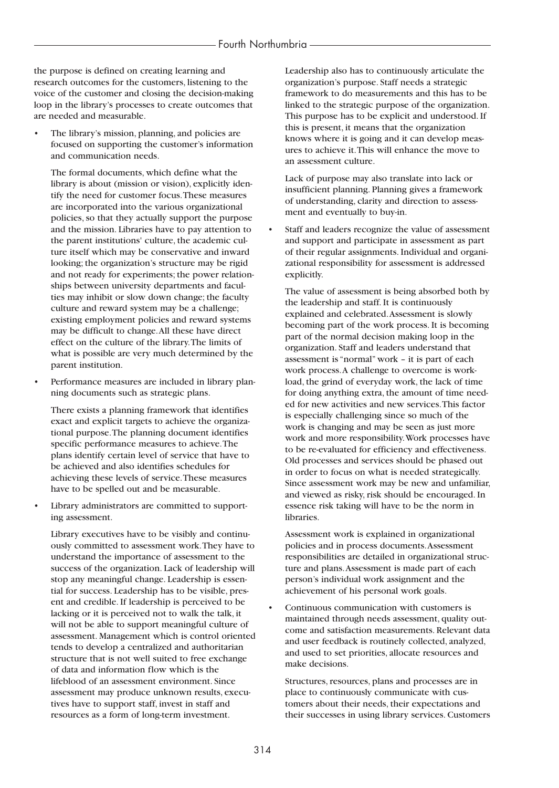the purpose is defined on creating learning and research outcomes for the customers, listening to the voice of the customer and closing the decision-making loop in the library's processes to create outcomes that are needed and measurable.

The library's mission, planning, and policies are focused on supporting the customer's information and communication needs.

The formal documents, which define what the library is about (mission or vision), explicitly identify the need for customer focus.These measures are incorporated into the various organizational policies, so that they actually support the purpose and the mission. Libraries have to pay attention to the parent institutions' culture, the academic culture itself which may be conservative and inward looking; the organization's structure may be rigid and not ready for experiments; the power relationships between university departments and faculties may inhibit or slow down change; the faculty culture and reward system may be a challenge; existing employment policies and reward systems may be difficult to change.All these have direct effect on the culture of the library.The limits of what is possible are very much determined by the parent institution.

Performance measures are included in library planning documents such as strategic plans.

There exists a planning framework that identifies exact and explicit targets to achieve the organizational purpose.The planning document identifies specific performance measures to achieve.The plans identify certain level of service that have to be achieved and also identifies schedules for achieving these levels of service.These measures have to be spelled out and be measurable.

Library administrators are committed to supporting assessment.

Library executives have to be visibly and continuously committed to assessment work.They have to understand the importance of assessment to the success of the organization. Lack of leadership will stop any meaningful change. Leadership is essential for success. Leadership has to be visible, present and credible. If leadership is perceived to be lacking or it is perceived not to walk the talk, it will not be able to support meaningful culture of assessment. Management which is control oriented tends to develop a centralized and authoritarian structure that is not well suited to free exchange of data and information flow which is the lifeblood of an assessment environment. Since assessment may produce unknown results, executives have to support staff, invest in staff and resources as a form of long-term investment.

Leadership also has to continuously articulate the organization's purpose. Staff needs a strategic framework to do measurements and this has to be linked to the strategic purpose of the organization. This purpose has to be explicit and understood. If this is present, it means that the organization knows where it is going and it can develop measures to achieve it.This will enhance the move to an assessment culture.

Lack of purpose may also translate into lack or insufficient planning. Planning gives a framework of understanding, clarity and direction to assessment and eventually to buy-in.

Staff and leaders recognize the value of assessment and support and participate in assessment as part of their regular assignments. Individual and organizational responsibility for assessment is addressed explicitly.

The value of assessment is being absorbed both by the leadership and staff. It is continuously explained and celebrated.Assessment is slowly becoming part of the work process. It is becoming part of the normal decision making loop in the organization. Staff and leaders understand that assessment is "normal" work – it is part of each work process.A challenge to overcome is workload, the grind of everyday work, the lack of time for doing anything extra, the amount of time needed for new activities and new services.This factor is especially challenging since so much of the work is changing and may be seen as just more work and more responsibility.Work processes have to be re-evaluated for efficiency and effectiveness. Old processes and services should be phased out in order to focus on what is needed strategically. Since assessment work may be new and unfamiliar, and viewed as risky, risk should be encouraged. In essence risk taking will have to be the norm in libraries.

Assessment work is explained in organizational policies and in process documents.Assessment responsibilities are detailed in organizational structure and plans.Assessment is made part of each person's individual work assignment and the achievement of his personal work goals.

• Continuous communication with customers is maintained through needs assessment, quality outcome and satisfaction measurements. Relevant data and user feedback is routinely collected, analyzed, and used to set priorities, allocate resources and make decisions.

Structures, resources, plans and processes are in place to continuously communicate with customers about their needs, their expectations and their successes in using library services. Customers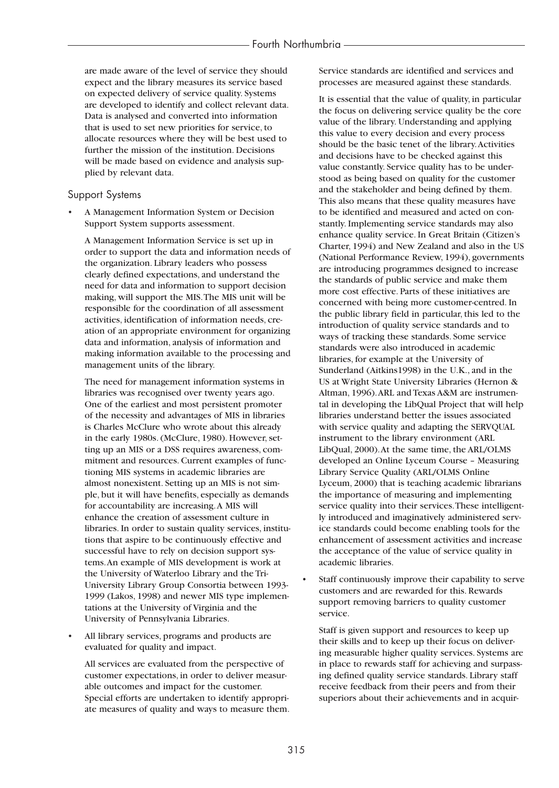are made aware of the level of service they should expect and the library measures its service based on expected delivery of service quality. Systems are developed to identify and collect relevant data. Data is analysed and converted into information that is used to set new priorities for service, to allocate resources where they will be best used to further the mission of the institution. Decisions will be made based on evidence and analysis supplied by relevant data.

#### Support Systems

• A Management Information System or Decision Support System supports assessment.

A Management Information Service is set up in order to support the data and information needs of the organization. Library leaders who possess clearly defined expectations, and understand the need for data and information to support decision making, will support the MIS.The MIS unit will be responsible for the coordination of all assessment activities, identification of information needs, creation of an appropriate environment for organizing data and information, analysis of information and making information available to the processing and management units of the library.

The need for management information systems in libraries was recognised over twenty years ago. One of the earliest and most persistent promoter of the necessity and advantages of MIS in libraries is Charles McClure who wrote about this already in the early 1980s. (McClure, 1980). However, setting up an MIS or a DSS requires awareness, commitment and resources. Current examples of functioning MIS systems in academic libraries are almost nonexistent. Setting up an MIS is not simple, but it will have benefits, especially as demands for accountability are increasing.A MIS will enhance the creation of assessment culture in libraries. In order to sustain quality services, institutions that aspire to be continuously effective and successful have to rely on decision support systems.An example of MIS development is work at the University of Waterloo Library and the Tri-University Library Group Consortia between 1993- 1999 (Lakos, 1998) and newer MIS type implementations at the University of Virginia and the University of Pennsylvania Libraries.

All library services, programs and products are evaluated for quality and impact.

All services are evaluated from the perspective of customer expectations, in order to deliver measurable outcomes and impact for the customer. Special efforts are undertaken to identify appropriate measures of quality and ways to measure them. Service standards are identified and services and processes are measured against these standards.

It is essential that the value of quality, in particular the focus on delivering service quality be the core value of the library. Understanding and applying this value to every decision and every process should be the basic tenet of the library.Activities and decisions have to be checked against this value constantly. Service quality has to be understood as being based on quality for the customer and the stakeholder and being defined by them. This also means that these quality measures have to be identified and measured and acted on constantly. Implementing service standards may also enhance quality service. In Great Britain (Citizen's Charter, 1994) and New Zealand and also in the US (National Performance Review, 1994), governments are introducing programmes designed to increase the standards of public service and make them more cost effective. Parts of these initiatives are concerned with being more customer-centred. In the public library field in particular, this led to the introduction of quality service standards and to ways of tracking these standards. Some service standards were also introduced in academic libraries, for example at the University of Sunderland (Aitkins1998) in the U.K., and in the US at Wright State University Libraries (Hernon & Altman, 1996).ARL and Texas A&M are instrumental in developing the LibQual Project that will help libraries understand better the issues associated with service quality and adapting the SERVQUAL instrument to the library environment (ARL LibQual, 2000).At the same time, the ARL/OLMS developed an Online Lyceum Course – Measuring Library Service Quality (ARL/OLMS Online Lyceum, 2000) that is teaching academic librarians the importance of measuring and implementing service quality into their services.These intelligently introduced and imaginatively administered service standards could become enabling tools for the enhancement of assessment activities and increase the acceptance of the value of service quality in academic libraries.

Staff continuously improve their capability to serve customers and are rewarded for this. Rewards support removing barriers to quality customer service.

Staff is given support and resources to keep up their skills and to keep up their focus on delivering measurable higher quality services. Systems are in place to rewards staff for achieving and surpassing defined quality service standards. Library staff receive feedback from their peers and from their superiors about their achievements and in acquir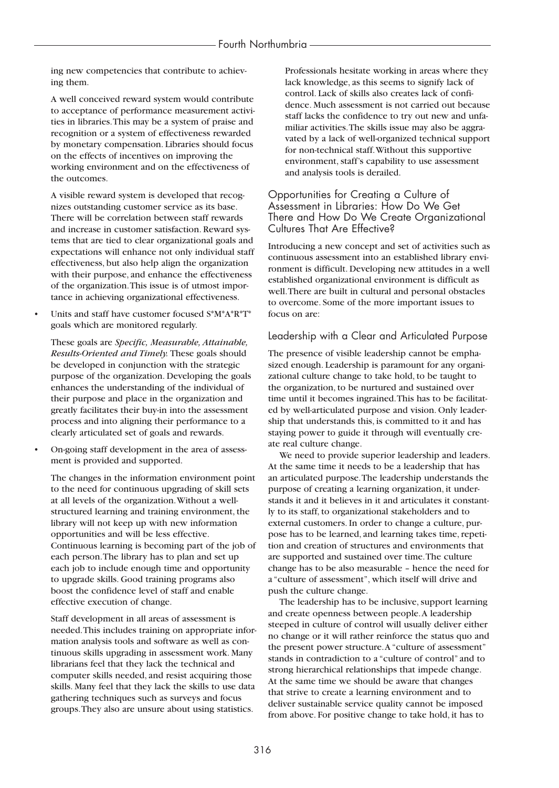ing new competencies that contribute to achieving them.

A well conceived reward system would contribute to acceptance of performance measurement activities in libraries.This may be a system of praise and recognition or a system of effectiveness rewarded by monetary compensation. Libraries should focus on the effects of incentives on improving the working environment and on the effectiveness of the outcomes.

A visible reward system is developed that recognizes outstanding customer service as its base. There will be correlation between staff rewards and increase in customer satisfaction. Reward systems that are tied to clear organizational goals and expectations will enhance not only individual staff effectiveness, but also help align the organization with their purpose, and enhance the effectiveness of the organization.This issue is of utmost importance in achieving organizational effectiveness.

• Units and staff have customer focused S\*M\*A\*R\*T\* goals which are monitored regularly.

These goals are *Specific, Measurable, Attainable, Results-Oriented and Timely.* These goals should be developed in conjunction with the strategic purpose of the organization. Developing the goals enhances the understanding of the individual of their purpose and place in the organization and greatly facilitates their buy-in into the assessment process and into aligning their performance to a clearly articulated set of goals and rewards.

• On-going staff development in the area of assessment is provided and supported.

The changes in the information environment point to the need for continuous upgrading of skill sets at all levels of the organization.Without a wellstructured learning and training environment, the library will not keep up with new information opportunities and will be less effective. Continuous learning is becoming part of the job of each person.The library has to plan and set up each job to include enough time and opportunity to upgrade skills. Good training programs also boost the confidence level of staff and enable effective execution of change.

Staff development in all areas of assessment is needed.This includes training on appropriate information analysis tools and software as well as continuous skills upgrading in assessment work. Many librarians feel that they lack the technical and computer skills needed, and resist acquiring those skills. Many feel that they lack the skills to use data gathering techniques such as surveys and focus groups.They also are unsure about using statistics.

Professionals hesitate working in areas where they lack knowledge, as this seems to signify lack of control. Lack of skills also creates lack of confidence. Much assessment is not carried out because staff lacks the confidence to try out new and unfamiliar activities.The skills issue may also be aggravated by a lack of well-organized technical support for non-technical staff.Without this supportive environment, staff's capability to use assessment and analysis tools is derailed.

### Opportunities for Creating a Culture of Assessment in Libraries: How Do We Get There and How Do We Create Organizational Cultures That Are Effective?

Introducing a new concept and set of activities such as continuous assessment into an established library environment is difficult. Developing new attitudes in a well established organizational environment is difficult as well.There are built in cultural and personal obstacles to overcome. Some of the more important issues to focus on are:

## Leadership with a Clear and Articulated Purpose

The presence of visible leadership cannot be emphasized enough. Leadership is paramount for any organizational culture change to take hold, to be taught to the organization, to be nurtured and sustained over time until it becomes ingrained.This has to be facilitated by well-articulated purpose and vision. Only leadership that understands this, is committed to it and has staying power to guide it through will eventually create real culture change.

We need to provide superior leadership and leaders. At the same time it needs to be a leadership that has an articulated purpose.The leadership understands the purpose of creating a learning organization, it understands it and it believes in it and articulates it constantly to its staff, to organizational stakeholders and to external customers. In order to change a culture, purpose has to be learned, and learning takes time, repetition and creation of structures and environments that are supported and sustained over time.The culture change has to be also measurable – hence the need for a "culture of assessment", which itself will drive and push the culture change.

The leadership has to be inclusive, support learning and create openness between people.A leadership steeped in culture of control will usually deliver either no change or it will rather reinforce the status quo and the present power structure.A "culture of assessment" stands in contradiction to a "culture of control" and to strong hierarchical relationships that impede change. At the same time we should be aware that changes that strive to create a learning environment and to deliver sustainable service quality cannot be imposed from above. For positive change to take hold, it has to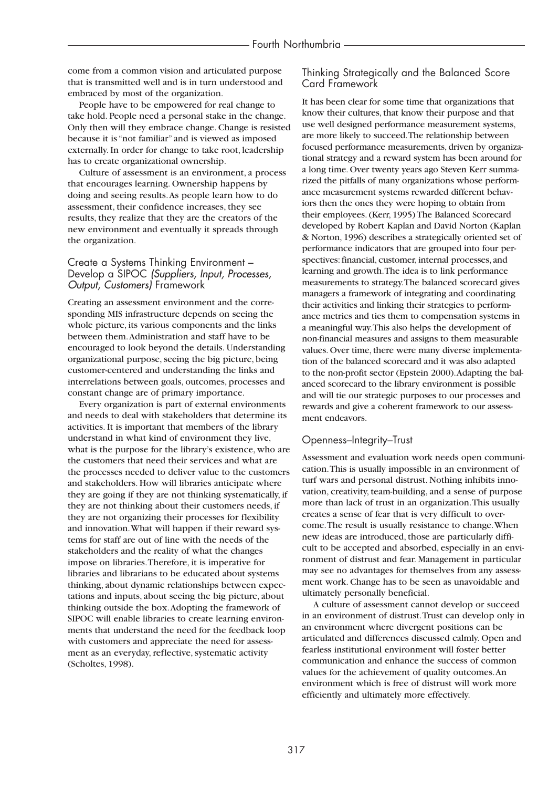come from a common vision and articulated purpose that is transmitted well and is in turn understood and embraced by most of the organization.

People have to be empowered for real change to take hold. People need a personal stake in the change. Only then will they embrace change. Change is resisted because it is "not familiar" and is viewed as imposed externally. In order for change to take root, leadership has to create organizational ownership.

Culture of assessment is an environment, a process that encourages learning. Ownership happens by doing and seeing results.As people learn how to do assessment, their confidence increases, they see results, they realize that they are the creators of the new environment and eventually it spreads through the organization.

### Create a Systems Thinking Environment – Develop a SIPOC *(Suppliers, Input, Processes, Output, Customers)* Framework

Creating an assessment environment and the corresponding MIS infrastructure depends on seeing the whole picture, its various components and the links between them.Administration and staff have to be encouraged to look beyond the details. Understanding organizational purpose, seeing the big picture, being customer-centered and understanding the links and interrelations between goals, outcomes, processes and constant change are of primary importance.

Every organization is part of external environments and needs to deal with stakeholders that determine its activities. It is important that members of the library understand in what kind of environment they live, what is the purpose for the library's existence, who are the customers that need their services and what are the processes needed to deliver value to the customers and stakeholders. How will libraries anticipate where they are going if they are not thinking systematically, if they are not thinking about their customers needs, if they are not organizing their processes for flexibility and innovation.What will happen if their reward systems for staff are out of line with the needs of the stakeholders and the reality of what the changes impose on libraries.Therefore, it is imperative for libraries and librarians to be educated about systems thinking, about dynamic relationships between expectations and inputs, about seeing the big picture, about thinking outside the box.Adopting the framework of SIPOC will enable libraries to create learning environments that understand the need for the feedback loop with customers and appreciate the need for assessment as an everyday, reflective, systematic activity (Scholtes, 1998).

### Thinking Strategically and the Balanced Score Card Framework

It has been clear for some time that organizations that know their cultures, that know their purpose and that use well designed performance measurement systems, are more likely to succeed.The relationship between focused performance measurements, driven by organizational strategy and a reward system has been around for a long time. Over twenty years ago Steven Kerr summarized the pitfalls of many organizations whose performance measurement systems rewarded different behaviors then the ones they were hoping to obtain from their employees. (Kerr, 1995) The Balanced Scorecard developed by Robert Kaplan and David Norton (Kaplan & Norton, 1996) describes a strategically oriented set of performance indicators that are grouped into four perspectives: financial, customer, internal processes, and learning and growth.The idea is to link performance measurements to strategy.The balanced scorecard gives managers a framework of integrating and coordinating their activities and linking their strategies to performance metrics and ties them to compensation systems in a meaningful way.This also helps the development of non-financial measures and assigns to them measurable values. Over time, there were many diverse implementation of the balanced scorecard and it was also adapted to the non-profit sector (Epstein 2000).Adapting the balanced scorecard to the library environment is possible and will tie our strategic purposes to our processes and rewards and give a coherent framework to our assessment endeavors.

# Openness–Integrity–Trust

Assessment and evaluation work needs open communication.This is usually impossible in an environment of turf wars and personal distrust. Nothing inhibits innovation, creativity, team-building, and a sense of purpose more than lack of trust in an organization.This usually creates a sense of fear that is very difficult to overcome.The result is usually resistance to change.When new ideas are introduced, those are particularly difficult to be accepted and absorbed, especially in an environment of distrust and fear. Management in particular may see no advantages for themselves from any assessment work. Change has to be seen as unavoidable and ultimately personally beneficial.

A culture of assessment cannot develop or succeed in an environment of distrust.Trust can develop only in an environment where divergent positions can be articulated and differences discussed calmly. Open and fearless institutional environment will foster better communication and enhance the success of common values for the achievement of quality outcomes.An environment which is free of distrust will work more efficiently and ultimately more effectively.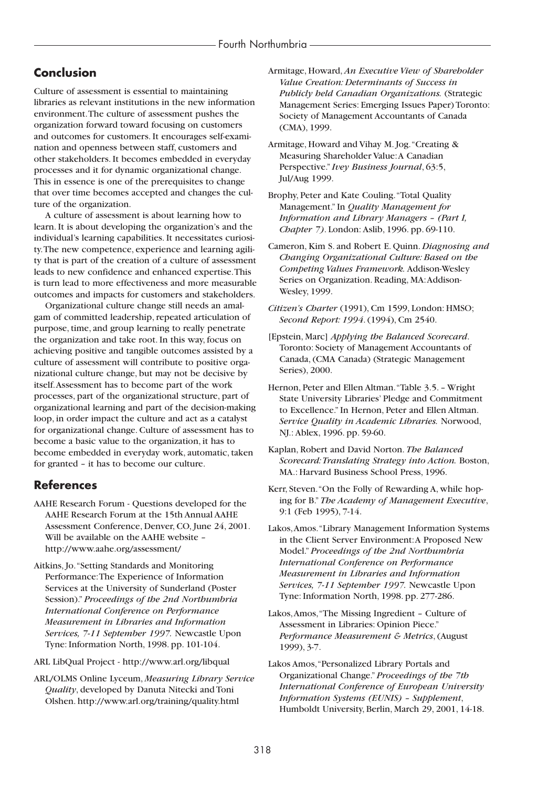# **Conclusion**

Culture of assessment is essential to maintaining libraries as relevant institutions in the new information environment.The culture of assessment pushes the organization forward toward focusing on customers and outcomes for customers. It encourages self-examination and openness between staff, customers and other stakeholders. It becomes embedded in everyday processes and it for dynamic organizational change. This in essence is one of the prerequisites to change that over time becomes accepted and changes the culture of the organization.

A culture of assessment is about learning how to learn. It is about developing the organization's and the individual's learning capabilities. It necessitates curiosity.The new competence, experience and learning agility that is part of the creation of a culture of assessment leads to new confidence and enhanced expertise.This is turn lead to more effectiveness and more measurable outcomes and impacts for customers and stakeholders.

Organizational culture change still needs an amalgam of committed leadership, repeated articulation of purpose, time, and group learning to really penetrate the organization and take root. In this way, focus on achieving positive and tangible outcomes assisted by a culture of assessment will contribute to positive organizational culture change, but may not be decisive by itself.Assessment has to become part of the work processes, part of the organizational structure, part of organizational learning and part of the decision-making loop, in order impact the culture and act as a catalyst for organizational change. Culture of assessment has to become a basic value to the organization, it has to become embedded in everyday work, automatic, taken for granted – it has to become our culture.

# **References**

- AAHE Research Forum Questions developed for the AAHE Research Forum at the 15th Annual AAHE Assessment Conference, Denver, CO, June 24, 2001. Will be available on the AAHE website – http://www.aahe.org/assessment/
- Aitkins, Jo."Setting Standards and Monitoring Performance:The Experience of Information Services at the University of Sunderland (Poster Session)." *Proceedings of the 2nd Northumbria International Conference on Performance Measurement in Libraries and Information Services, 7-11 September 1997.* Newcastle Upon Tyne: Information North, 1998. pp. 101-104.
- ARL LibQual Project http://www.arl.org/libqual
- ARL/OLMS Online Lyceum, *Measuring Library Service Quality*, developed by Danuta Nitecki and Toni Olshen. http://www.arl.org/training/quality.html
- Armitage, Howard, *An Executive View of Shareholder Value Creation: Determinants of Success in Publicly held Canadian Organizations.* (Strategic Management Series: Emerging Issues Paper) Toronto: Society of Management Accountants of Canada (CMA), 1999.
- Armitage, Howard and Vihay M. Jog."Creating & Measuring Shareholder Value:A Canadian Perspective." *Ivey Business Journal*, 63:5, Jul/Aug 1999.
- Brophy, Peter and Kate Couling."Total Quality Management." In *Quality Management for Information and Library Managers – (Part I, Chapter 7)*. London: Aslib, 1996. pp. 69-110.
- Cameron, Kim S. and Robert E. Quinn. *Diagnosing and Changing Organizational Culture: Based on the Competing Values Framework.* Addison-Wesley Series on Organization. Reading, MA:Addison-Wesley, 1999.
- *Citizen's Charter* (1991), Cm 1599, London: HMSO; *Second Report: 1994*. (1994), Cm 2540.
- [Epstein, Marc] *Applying the Balanced Scorecard*. Toronto: Society of Management Accountants of Canada, (CMA Canada) (Strategic Management Series), 2000.
- Hernon, Peter and Ellen Altman."Table 3.5. Wright State University Libraries' Pledge and Commitment to Excellence." In Hernon, Peter and Ellen Altman. *Service Quality in Academic Libraries.* Norwood, NJ.: Ablex, 1996. pp. 59-60.
- Kaplan, Robert and David Norton. *The Balanced Scorecard:Translating Strategy into Action.* Boston, MA.: Harvard Business School Press, 1996.
- Kerr, Steven."On the Folly of Rewarding A, while hoping for B." *The Academy of Management Executive*, 9:1 (Feb 1995), 7-14.
- Lakos,Amos."Library Management Information Systems in the Client Server Environment:A Proposed New Model." *Proceedings of the 2nd Northumbria International Conference on Performance Measurement in Libraries and Information Services, 7-11 September 1997.* Newcastle Upon Tyne: Information North, 1998. pp. 277-286.
- Lakos,Amos,"The Missing Ingredient Culture of Assessment in Libraries: Opinion Piece." *Performance Measurement & Metrics*, (August 1999), 3-7.
- Lakos Amos,"Personalized Library Portals and Organizational Change." *Proceedings of the 7th International Conference of European University Information Systems (EUNIS) – Supplement*, Humboldt University, Berlin, March 29, 2001, 14-18.